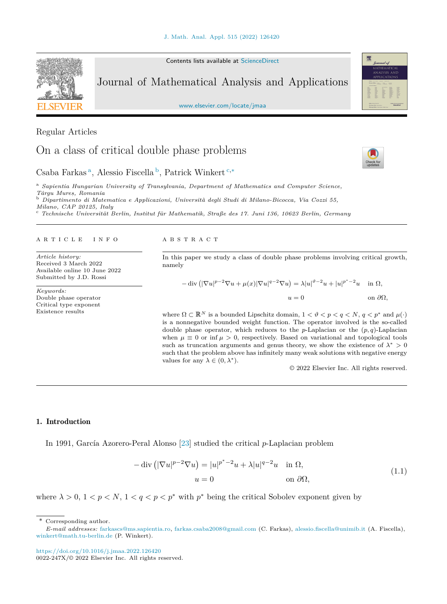Contents lists available at [ScienceDirect](http://www.ScienceDirect.com/)

# Journal of Mathematical Analysis and Applications

[www.elsevier.com/locate/jmaa](http://www.elsevier.com/locate/jmaa)

Regular Articles

# On a class of critical double phase problems

Csaba Farkas <sup>a</sup>, Alessio Fiscella <sup>b</sup>, Patrick Winkert <sup>c</sup>*,*<sup>∗</sup>

<sup>a</sup> *Sapientia Hungarian University of Transylvania, Department of Mathematics and Computer Science,*

<sup>b</sup> Dipartimento di Matematica e Applicazioni, Università degli Studi di Milano-Bicocca, Via Cozzi 55,<br>Milano, CAP 20125, Italy

<sup>c</sup> Technische Universität Berlin, Institut für Mathematik, Straße des 17. Juni 136, 10623 Berlin, Germany

### A R T I C L E I N F O A B S T R A C T

*Article history:* Received 3 March 2022 Available online 10 June 2022 Submitted by J.D. Rossi

*Keywords:* Double phase operator Critical type exponent Existence results

In this paper we study a class of double phase problems involving critical growth, namely

 $-\text{div}\left(|\nabla u|^{p-2}\nabla u + \mu(x)|\nabla u|^{q-2}\nabla u\right) = \lambda |u|^{p-2}u + |u|^{p^*-2}u \quad \text{ in } \Omega,$  $u = 0$  on  $\partial\Omega$ ,

where  $\Omega \subset \mathbb{R}^N$  is a bounded Lipschitz domain,  $1 < \vartheta < p < q < N$ ,  $q < p^*$  and  $\mu(\cdot)$ is a nonnegative bounded weight function. The operator involved is the so-called double phase operator, which reduces to the *p*-Laplacian or the  $(p, q)$ -Laplacian when  $\mu \equiv 0$  or inf  $\mu > 0$ , respectively. Based on variational and topological tools such as truncation arguments and genus theory, we show the existence of  $\lambda^* > 0$ such that the problem above has infinitely many weak solutions with negative energy values for any  $\lambda \in (0, \lambda^*)$ .

© 2022 Elsevier Inc. All rights reserved.

## 1. Introduction

In 1991, García Azorero-Peral Alonso [\[23](#page-15-0)] studied the critical *p*-Laplacian problem

$$
-\operatorname{div}\left(|\nabla u|^{p-2}\nabla u\right) = |u|^{p^*-2}u + \lambda|u|^{q-2}u \quad \text{in } \Omega,
$$
  
\n
$$
u = 0 \qquad \text{on } \partial\Omega,
$$
\n(1.1)

where  $\lambda > 0$ ,  $1 < p < N$ ,  $1 < q < p < p^*$  with  $p^*$  being the critical Sobolev exponent given by

\* Corresponding author.

<span id="page-0-0"></span>





*E-mail addresses:* [farkascs@ms.sapientia.ro,](mailto:farkascs@ms.sapientia.ro) [farkas.csaba2008@gmail.com](mailto:farkas.csaba2008@gmail.com) (C. Farkas), [alessio.fiscella@unimib.it](mailto:alessio.fiscella@unimib.it) (A. Fiscella), [winkert@math.tu-berlin.de](mailto:winkert@math.tu-berlin.de) (P. Winkert).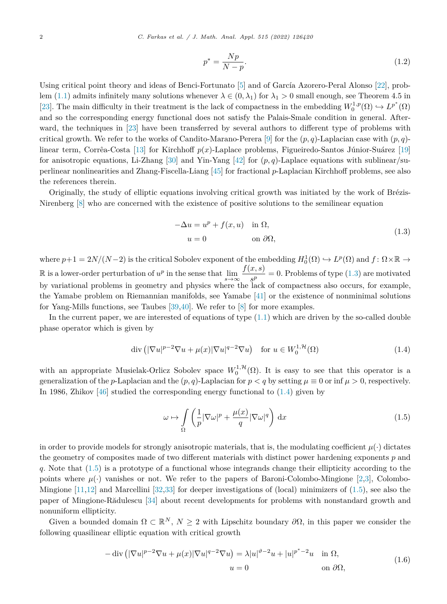$$
p^* = \frac{Np}{N-p}.\tag{1.2}
$$

<span id="page-1-0"></span>Using critical point theory and ideas of Benci-Fortunato [\[5](#page-14-0)] and of García Azorero-Peral Alonso [\[22](#page-15-0)], prob-lem [\(1.1](#page-0-0)) admits infinitely many solutions whenever  $\lambda \in (0, \lambda_1)$  for  $\lambda_1 > 0$  small enough, see Theorem 4.5 in [[23\]](#page-15-0). The main difficulty in their treatment is the lack of compactness in the embedding  $W_0^{1,p}(\Omega) \hookrightarrow L^{p^*}(\Omega)$ and so the corresponding energy functional does not satisfy the Palais-Smale condition in general. Afterward, the techniques in [[23\]](#page-15-0) have been transferred by several authors to different type of problems with critical growth. We refer to the works of Candito-Marano-Perera [\[9](#page-14-0)] for the  $(p, q)$ -Laplacian case with  $(p, q)$ linear term, Corrêa-Costa [\[13\]](#page-14-0) for Kirchhoff *p*(*x*)-Laplace problems, Figueiredo-Santos Júnior-Suárez [[19\]](#page-14-0) for anisotropic equations, Li-Zhang [\[30\]](#page-15-0) and Yin-Yang [[42\]](#page-15-0) for  $(p, q)$ -Laplace equations with sublinear/superlinear nonlinearities and Zhang-Fiscella-Liang [\[45](#page-15-0)] for fractional *p*-Laplacian Kirchhoff problems, see also the references therein.

Originally, the study of elliptic equations involving critical growth was initiated by the work of Brézis-Nirenberg  $[8]$  $[8]$  who are concerned with the existence of positive solutions to the semilinear equation

$$
-\Delta u = u^p + f(x, u) \quad \text{in } \Omega,
$$
  
\n
$$
u = 0 \qquad \text{on } \partial\Omega,
$$
\n(1.3)

where  $p+1 = 2N/(N-2)$  is the critical Sobolev exponent of the embedding  $H_0^1(\Omega) \hookrightarrow L^p(\Omega)$  and  $f: \Omega \times \mathbb{R} \to$ R is a lower-order perturbation of  $u^p$  in the sense that  $\lim_{s\to\infty} \frac{f(x,s)}{s^p} = 0$ . Problems of type (1.3) are motivated by variational problems in geometry and physics where the lack of compactness also occurs, for example, the Yamabe problem on Riemannian manifolds, see Yamabe [\[41](#page-15-0)] or the existence of nonminimal solutions for Yang-Mills functions, see Taubes [\[39](#page-15-0),[40\]](#page-15-0). We refer to [\[8](#page-14-0)] for more examples.

In the current paper, we are interested of equations of type  $(1.1)$  $(1.1)$  which are driven by the so-called double phase operator which is given by

$$
\operatorname{div}\left(|\nabla u|^{p-2}\nabla u + \mu(x)|\nabla u|^{q-2}\nabla u\right) \quad \text{for } u \in W_0^{1,\mathcal{H}}(\Omega) \tag{1.4}
$$

with an appropriate Musielak-Orlicz Sobolev space  $W_0^{1,\mathcal{H}}(\Omega)$ . It is easy to see that this operator is a generalization of the *p*-Laplacian and the  $(p, q)$ -Laplacian for  $p < q$  by setting  $\mu \equiv 0$  or inf  $\mu > 0$ , respectively. In 1986, Zhikov [\[46](#page-15-0)] studied the corresponding energy functional to (1.4) given by

$$
\omega \mapsto \int_{\Omega} \left( \frac{1}{p} |\nabla \omega|^p + \frac{\mu(x)}{q} |\nabla \omega|^q \right) dx \tag{1.5}
$$

in order to provide models for strongly anisotropic materials, that is, the modulating coefficient  $\mu(\cdot)$  dictates the geometry of composites made of two different materials with distinct power hardening exponents *p* and *q*. Note that (1.5) is a prototype of a functional whose integrands change their ellipticity according to the points where  $\mu(\cdot)$  vanishes or not. We refer to the papers of Baroni-Colombo-Mingione [\[2,3](#page-14-0)], Colombo-Mingione [[11,12](#page-14-0)] and Marcellini [\[32,33\]](#page-15-0) for deeper investigations of (local) minimizers of (1.5), see also the paper of Mingione-Rădulescu [[34\]](#page-15-0) about recent developments for problems with nonstandard growth and nonuniform ellipticity.

Given a bounded domain  $\Omega \subset \mathbb{R}^N$ ,  $N \geq 2$  with Lipschitz boundary  $\partial \Omega$ , in this paper we consider the following quasilinear elliptic equation with critical growth

$$
-\operatorname{div}\left(|\nabla u|^{p-2}\nabla u + \mu(x)|\nabla u|^{q-2}\nabla u\right) = \lambda |u|^{p-2}u + |u|^{p^*-2}u \quad \text{in } \Omega,
$$
  
\n
$$
u = 0 \qquad \text{on } \partial\Omega,
$$
\n(1.6)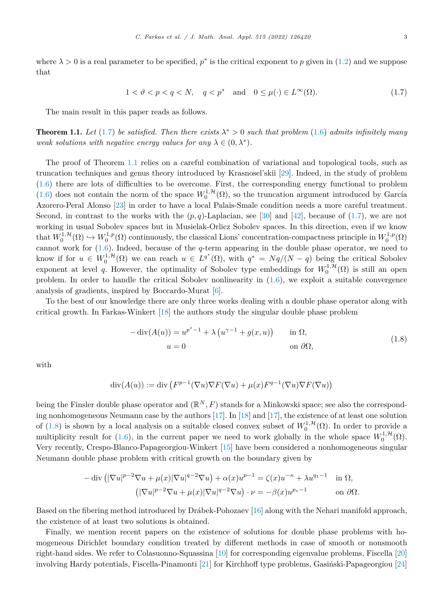<span id="page-2-0"></span>where  $\lambda > 0$  is a real parameter to be specified,  $p^*$  is the critical exponent to p given in [\(1.2](#page-1-0)) and we suppose that

$$
1 < \vartheta < p < q < N, \quad q < p^* \quad \text{and} \quad 0 \le \mu(\cdot) \in L^\infty(\Omega). \tag{1.7}
$$

The main result in this paper reads as follows.

**Theorem 1.1.** Let (1.7) be satisfied. Then there exists  $\lambda^* > 0$  such that problem [\(1.6](#page-1-0)) admits infinitely many *weak solutions with negative energy values for any*  $\lambda \in (0, \lambda^*)$ *.* 

The proof of Theorem 1.1 relies on a careful combination of variational and topological tools, such as truncation techniques and genus theory introduced by Krasnosel'skii [[29\]](#page-15-0). Indeed, in the study of problem ([1.6\)](#page-1-0) there are lots of difficulties to be overcome. First, the corresponding energy functional to problem ([1.6\)](#page-1-0) does not contain the norm of the space  $W_0^{1,\mathcal{H}}(\Omega)$ , so the truncation argument introduced by García Azorero-Peral Alonso [[23\]](#page-15-0) in order to have a local Palais-Smale condition needs a more careful treatment. Second, in contrast to the works with the  $(p, q)$ -Laplacian, see [\[30](#page-15-0)] and [[42\]](#page-15-0), because of (1.7), we are not working in usual Sobolev spaces but in Musielak-Orlicz Sobolev spaces. In this direction, even if we know that  $W_0^{1,\mathcal{H}}(\Omega) \hookrightarrow W_0^{1,p}(\Omega)$  continuously, the classical Lions' concentration-compactness principle in  $W_0^{1,p}(\Omega)$ cannot work for ([1.6\)](#page-1-0). Indeed, because of the *q*-term appearing in the double phase operator, we need to know if for  $u \in W_0^{1,\mathcal{H}}(\Omega)$  we can reach  $u \in L^{q^*}(\Omega)$ , with  $q^* = Nq/(N-q)$  being the critical Sobolev exponent at level *q*. However, the optimality of Sobolev type embeddings for  $W_0^{1, H}(\Omega)$  is still an open problem. In order to handle the critical Sobolev nonlinearity in [\(1.6](#page-1-0)), we exploit a suitable convergence analysis of gradients, inspired by Boccardo-Murat [\[6](#page-14-0)].

To the best of our knowledge there are only three works dealing with a double phase operator along with critical growth. In Farkas-Winkert [\[18](#page-14-0)] the authors study the singular double phase problem

$$
- \operatorname{div}(A(u)) = u^{p^* - 1} + \lambda (u^{\gamma - 1} + g(x, u)) \quad \text{in } \Omega,
$$
  
\n
$$
u = 0 \quad \text{on } \partial\Omega,
$$
\n(1.8)

with

$$
\operatorname{div}(A(u)) := \operatorname{div}\left(F^{p-1}(\nabla u)\nabla F(\nabla u) + \mu(x)F^{q-1}(\nabla u)\nabla F(\nabla u)\right)
$$

being the Finsler double phase operator and  $(\mathbb{R}^N, F)$  stands for a Minkowski space; see also the corresponding nonhomogeneous Neumann case by the authors [\[17\]](#page-14-0). In [[18\]](#page-14-0) and [\[17\]](#page-14-0), the existence of at least one solution of (1.8) is shown by a local analysis on a suitable closed convex subset of  $W_0^{1,\mathcal{H}}(\Omega)$ . In order to provide a multiplicity result for ([1.6\)](#page-1-0), in the current paper we need to work globally in the whole space  $W_0^{1, \mathcal{H}}(\Omega)$ . Very recently, Crespo-Blanco-Papageorgiou-Winkert [\[15](#page-14-0)] have been considered a nonhomogeneous singular Neumann double phase problem with critical growth on the boundary given by

$$
-\operatorname{div}\left(|\nabla u|^{p-2}\nabla u + \mu(x)|\nabla u|^{q-2}\nabla u\right) + \alpha(x)u^{p-1} = \zeta(x)u^{-\kappa} + \lambda u^{q-1} \quad \text{in } \Omega,
$$

$$
\left(|\nabla u|^{p-2}\nabla u + \mu(x)|\nabla u|^{q-2}\nabla u\right) \cdot \nu = -\beta(x)u^{p-1} \qquad \text{on } \partial\Omega.
$$

Based on the fibering method introduced by Drábek-Pohozaev [\[16\]](#page-14-0) along with the Nehari manifold approach, the existence of at least two solutions is obtained.

Finally, we mention recent papers on the existence of solutions for double phase problems with homogeneous Dirichlet boundary condition treated by different methods in case of smooth or nonsmooth right-hand sides. We refer to Colasuonno-Squassina [\[10](#page-14-0)] for corresponding eigenvalue problems, Fiscella [\[20](#page-15-0)] involving Hardy potentials, Fiscella-Pinamonti [[21\]](#page-15-0) for Kirchhoff type problems, Gasiński-Papageorgiou [\[24](#page-15-0)]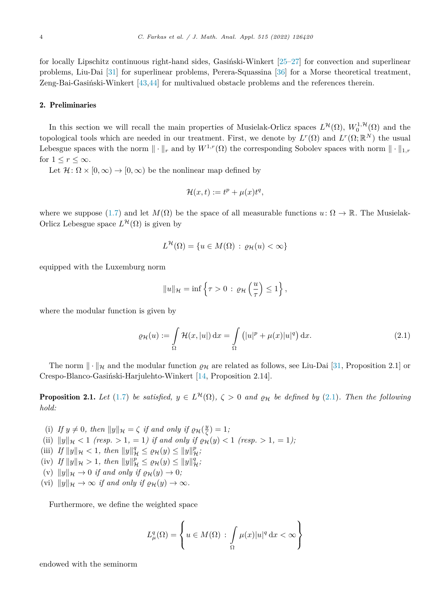<span id="page-3-0"></span>for locally Lipschitz continuous right-hand sides, Gasiński-Winkert [\[25–27](#page-15-0)] for convection and superlinear problems, Liu-Dai [\[31](#page-15-0)] for superlinear problems, Perera-Squassina [\[36\]](#page-15-0) for a Morse theoretical treatment, Zeng-Bai-Gasiński-Winkert [\[43](#page-15-0),[44\]](#page-15-0) for multivalued obstacle problems and the references therein.

### 2. Preliminaries

In this section we will recall the main properties of Musielak-Orlicz spaces  $L^{\mathcal{H}}(\Omega)$ ,  $W_0^{1,\mathcal{H}}(\Omega)$  and the topological tools which are needed in our treatment. First, we denote by  $L^r(\Omega)$  and  $L^r(\Omega;\mathbb{R}^N)$  the usual Lebesgue spaces with the norm  $\|\cdot\|_r$  and by  $W^{1,r}(\Omega)$  the corresponding Sobolev spaces with norm  $\|\cdot\|_{1,r}$ for  $1 \leq r \leq \infty$ .

Let  $\mathcal{H} \colon \Omega \times [0, \infty) \to [0, \infty)$  be the nonlinear map defined by

$$
\mathcal{H}(x,t) := t^p + \mu(x)t^q,
$$

where we suppose [\(1.7](#page-2-0)) and let  $M(\Omega)$  be the space of all measurable functions  $u: \Omega \to \mathbb{R}$ . The Musielak-Orlicz Lebesgue space  $L^{\mathcal{H}}(\Omega)$  is given by

$$
L^{\mathcal{H}}(\Omega) = \{ u \in M(\Omega) : \varrho_{\mathcal{H}}(u) < \infty \}
$$

equipped with the Luxemburg norm

$$
||u||_{\mathcal{H}} = \inf \left\{ \tau > 0 \, : \, \varrho_{\mathcal{H}} \left( \frac{u}{\tau} \right) \leq 1 \right\},\,
$$

where the modular function is given by

$$
\varrho_{\mathcal{H}}(u) := \int_{\Omega} \mathcal{H}(x, |u|) dx = \int_{\Omega} (|u|^p + \mu(x)|u|^q) dx.
$$
 (2.1)

The norm  $\|\cdot\|_{\mathcal{H}}$  and the modular function  $\varrho_{\mathcal{H}}$  are related as follows, see Liu-Dai [\[31](#page-15-0), Proposition 2.1] or Crespo-Blanco-Gasiński-Harjulehto-Winkert [\[14](#page-14-0), Proposition 2.14].

**Proposition 2.1.** Let [\(1.7\)](#page-2-0) be satisfied,  $y \in L^{\mathcal{H}}(\Omega)$ ,  $\zeta > 0$  and  $\rho_{\mathcal{H}}$  be defined by (2.1). Then the following *hold:*

(i) If  $y \neq 0$ , then  $||y||_{\mathcal{H}} = \zeta$  if and only if  $\varrho_{\mathcal{H}}(\frac{y}{\zeta}) = 1$ ; (ii)  $||y||_{\mathcal{H}} < 1$  (resp.  $> 1, = 1$ ) if and only if  $\varrho_{\mathcal{H}}(y) < 1$  (resp.  $> 1, = 1$ ); (iii) *If*  $||y||_{\mathcal{H}} < 1$ , then  $||y||_{\mathcal{H}}^q \leq \varrho_{\mathcal{H}}(y) \leq ||y||_{\mathcal{H}}^p$ ; (iv)  $If ||y||_{\mathcal{H}} > 1$ , then  $||y||_{\mathcal{H}}^p \leq \varrho_{\mathcal{H}}(y) \leq ||y||_{\mathcal{H}}^q$ ;  $(v)$   $||y||_{\mathcal{H}} \to 0$  *if and only if*  $\varrho_{\mathcal{H}}(y) \to 0$ *;*  $(vi)$   $||y||_{\mathcal{H}} \rightarrow \infty$  *if and only if*  $\varrho_{\mathcal{H}}(y) \rightarrow \infty$ *.* 

Furthermore, we define the weighted space

$$
L^q_\mu(\Omega) = \left\{ u \in M(\Omega) \, : \, \int\limits_\Omega \mu(x) |u|^q \, \mathrm{d}x < \infty \right\}
$$

endowed with the seminorm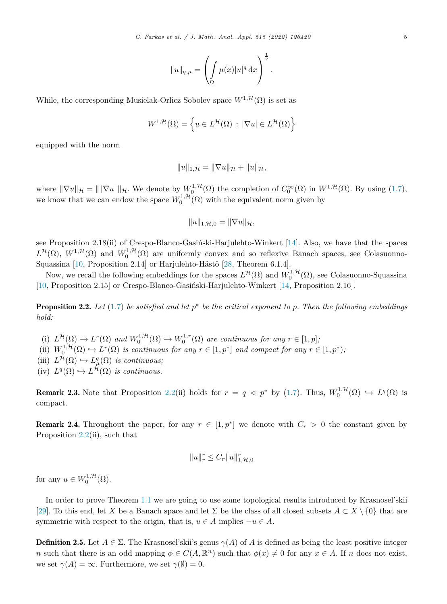$$
||u||_{q,\mu} = \left(\int_{\Omega} \mu(x)|u|^q dx\right)^{\frac{1}{q}}.
$$

<span id="page-4-0"></span>While, the corresponding Musielak-Orlicz Sobolev space  $W^{1, \mathcal{H}}(\Omega)$  is set as

$$
W^{1,\mathcal{H}}(\Omega) = \left\{ u \in L^{\mathcal{H}}(\Omega) \, : \, |\nabla u| \in L^{\mathcal{H}}(\Omega) \right\}
$$

equipped with the norm

$$
||u||_{1,\mathcal{H}} = ||\nabla u||_{\mathcal{H}} + ||u||_{\mathcal{H}},
$$

where  $\|\nabla u\|_{\mathcal{H}} = \|\nabla u\|_{\mathcal{H}}$ . We denote by  $W_0^{1,\mathcal{H}}(\Omega)$  the completion of  $C_0^{\infty}(\Omega)$  in  $W^{1,\mathcal{H}}(\Omega)$ . By using  $(1.7)$  $(1.7)$  $(1.7)$ , we know that we can endow the space  $W_0^{1, H}(\Omega)$  with the equivalent norm given by

$$
||u||_{1,\mathcal{H},0}=||\nabla u||_{\mathcal{H}},
$$

see Proposition 2.18(ii) of Crespo-Blanco-Gasiński-Harjulehto-Winkert [\[14](#page-14-0)]. Also, we have that the spaces  $L^{\mathcal{H}}(\Omega)$ ,  $W^{1,\mathcal{H}}(\Omega)$  and  $W_0^{1,\mathcal{H}}(\Omega)$  are uniformly convex and so reflexive Banach spaces, see Colasuonno-Squassina [\[10,](#page-14-0) Proposition 2.14] or Harjulehto-Hästö [[28,](#page-15-0) Theorem 6.1.4].

Now, we recall the following embeddings for the spaces  $L^{\mathcal{H}}(\Omega)$  and  $W_0^{1,\mathcal{H}}(\Omega)$ , see Colasuonno-Squassina [[10,](#page-14-0) Proposition 2.15] or Crespo-Blanco-Gasiński-Harjulehto-Winkert [[14,](#page-14-0) Proposition 2.16].

**Proposition 2.2.** Let  $(1.7)$  $(1.7)$  be satisfied and let  $p^*$  be the critical exponent to p. Then the following embeddings *hold:*

- (i)  $L^{\mathcal{H}}(\Omega) \hookrightarrow L^{r}(\Omega)$  and  $W_0^{1,\mathcal{H}}(\Omega) \hookrightarrow W_0^{1,r}(\Omega)$  are continuous for any  $r \in [1,p]$ ;
- (ii)  $W_0^{1,\mathcal{H}}(\Omega) \hookrightarrow L^r(\Omega)$  *is continuous for any*  $r \in [1, p^*]$  *and compact for any*  $r \in [1, p^*);$
- (iii)  $L^{\mathcal{H}}(\Omega) \hookrightarrow L^q_{\mu}(\Omega)$  *is continuous;*
- $(iv)$   $L^q(\Omega) \hookrightarrow L^{\mathcal{H}}(\Omega)$  *is continuous.*

**Remark 2.3.** Note that Proposition 2.2(ii) holds for  $r = q < p^*$  by ([1.7](#page-2-0)). Thus,  $W_0^{1, H}(\Omega) \hookrightarrow L^q(\Omega)$  is compact.

**Remark 2.4.** Throughout the paper, for any  $r \in [1, p^*]$  we denote with  $C_r > 0$  the constant given by Proposition 2.2(ii), such that

$$
||u||_r^r \leq C_r ||u||_{1,\mathcal{H},0}^r
$$

for any  $u \in W_0^{1,\mathcal{H}}(\Omega)$ .

In order to prove Theorem [1.1](#page-2-0) we are going to use some topological results introduced by Krasnosel'skii [[29\]](#page-15-0). To this end, let X be a Banach space and let  $\Sigma$  be the class of all closed subsets  $A \subset X \setminus \{0\}$  that are symmetric with respect to the origin, that is,  $u \in A$  implies  $-u \in A$ .

**Definition 2.5.** Let  $A \in \Sigma$ . The Krasnosel'skii's genus  $\gamma(A)$  of A is defined as being the least positive integer *n* such that there is an odd mapping  $\phi \in C(A, \mathbb{R}^n)$  such that  $\phi(x) \neq 0$  for any  $x \in A$ . If *n* does not exist, we set  $\gamma(A) = \infty$ . Furthermore, we set  $\gamma(\emptyset) = 0$ .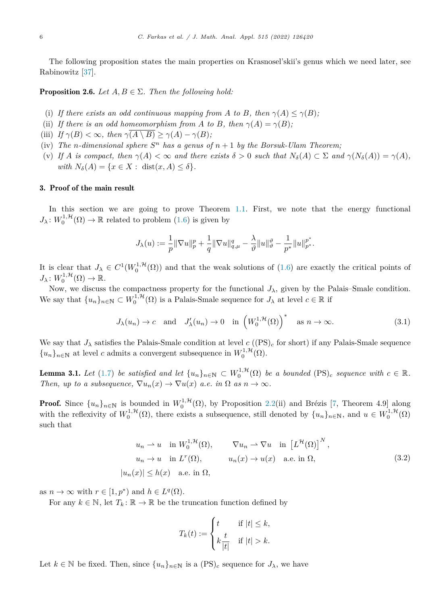<span id="page-5-0"></span>The following proposition states the main properties on Krasnosel'skii's genus which we need later, see Rabinowitz [\[37\]](#page-15-0).

**Proposition 2.6.** *Let*  $A, B \in \Sigma$ . *Then the following hold:* 

- (i) If there exists an odd continuous mapping from A to B, then  $\gamma(A) \leq \gamma(B)$ ;
- (ii) *If* there *is* an *odd* homeomorphism from *A* to *B*, then  $\gamma(A) = \gamma(B)$ ;
- (iii) *If*  $\gamma(B) < \infty$ *, then*  $\gamma(\overline{A \setminus B}) \geq \gamma(A) \gamma(B)$ *;*
- (iv) *The n-dimensional sphere*  $S^n$  *has a genus of*  $n + 1$  *by the Borsuk-Ulam Theorem;*
- (v) If A is compact, then  $\gamma(A) < \infty$  and there exists  $\delta > 0$  such that  $N_{\delta}(A) \subset \Sigma$  and  $\gamma(N_{\delta}(A)) = \gamma(A)$ ,  $with N_{\delta}(A) = \{x \in X : \text{dist}(x, A) \leq \delta\}.$

## 3. Proof of the main result

In this section we are going to prove Theorem [1.1.](#page-2-0) First, we note that the energy functional  $J_{\lambda}: W_0^{1,\mathcal{H}}(\Omega) \to \mathbb{R}$  related to problem ([1.6](#page-1-0)) is given by

$$
J_{\lambda}(u):=\frac{1}{p}\|\nabla u\|_{p}^{p}+\frac{1}{q}\|\nabla u\|_{q,\mu}^{q}-\frac{\lambda}{\vartheta}\|u\|_{\vartheta}^{\vartheta}-\frac{1}{p^{*}}\|u\|_{p^{*}}^{p^{*}}.
$$

It is clear that  $J_{\lambda} \in C^{1}(W_{0}^{1,\mathcal{H}}(\Omega))$  and that the weak solutions of [\(1.6](#page-1-0)) are exactly the critical points of  $J_{\lambda}: W_0^{1, \mathcal{H}}(\Omega) \to \mathbb{R}.$ 

Now, we discuss the compactness property for the functional  $J_{\lambda}$ , given by the Palais–Smale condition. We say that  $\{u_n\}_{n\in\mathbb{N}} \subset W_0^{1,\mathcal{H}}(\Omega)$  is a Palais-Smale sequence for  $J_\lambda$  at level  $c \in \mathbb{R}$  if

$$
J_{\lambda}(u_n) \to c
$$
 and  $J'_{\lambda}(u_n) \to 0$  in  $\left(W_0^{1,\mathcal{H}}(\Omega)\right)^*$  as  $n \to \infty$ . (3.1)

We say that  $J_{\lambda}$  satisfies the Palais-Smale condition at level  $c$  ((PS)<sub>c</sub> for short) if any Palais-Smale sequence  ${u_n}_{n \in \mathbb{N}}$  at level *c* admits a convergent subsequence in  $W_0^{1, \mathcal{H}}(\Omega)$ .

**Lemma 3.1.** Let [\(1.7](#page-2-0)) be satisfied and let  $\{u_n\}_{n\in\mathbb{N}} \subset W_0^{1,\mathcal{H}}(\Omega)$  be a bounded  $(PS)_c$  sequence with  $c \in \mathbb{R}$ . *Then, up to a subsequence,*  $\nabla u_n(x) \to \nabla u(x)$  *a.e. in*  $\Omega$  *as*  $n \to \infty$ *.* 

**Proof.** Since  $\{u_n\}_{n\in\mathbb{N}}$  is bounded in  $W_0^{1,\mathcal{H}}(\Omega)$ , by Proposition [2.2\(](#page-4-0)ii) and Brézis [\[7](#page-14-0), Theorem 4.9] along with the reflexivity of  $W_0^{1,\mathcal{H}}(\Omega)$ , there exists a subsequence, still denoted by  $\{u_n\}_{n\in\mathbb{N}}$ , and  $u \in W_0^{1,\mathcal{H}}(\Omega)$ such that

$$
u_n \rightharpoonup u \quad \text{in } W_0^{1, \mathcal{H}}(\Omega), \qquad \nabla u_n \rightharpoonup \nabla u \quad \text{in } \left[L^{\mathcal{H}}(\Omega)\right]^N,
$$
\n
$$
u_n \rightharpoonup u \quad \text{in } L^r(\Omega), \qquad u_n(x) \rightharpoonup u(x) \quad \text{a.e. in } \Omega,
$$
\n
$$
|u_n(x)| \le h(x) \quad \text{a.e. in } \Omega,
$$
\n
$$
(3.2)
$$

as  $n \to \infty$  with  $r \in [1, p^*)$  and  $h \in L^q(\Omega)$ .

For any  $k \in \mathbb{N}$ , let  $T_k : \mathbb{R} \to \mathbb{R}$  be the truncation function defined by

$$
T_k(t) := \begin{cases} t & \text{if } |t| \leq k, \\ k \frac{t}{|t|} & \text{if } |t| > k. \end{cases}
$$

Let  $k \in \mathbb{N}$  be fixed. Then, since  $\{u_n\}_{n \in \mathbb{N}}$  is a  $(PS)_c$  sequence for  $J_\lambda$ , we have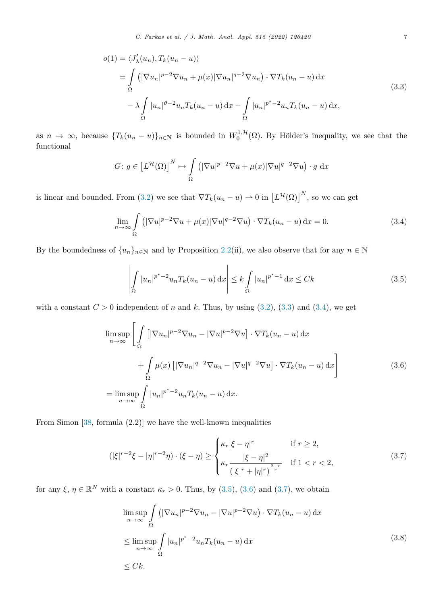<span id="page-6-0"></span>
$$
o(1) = \langle J'_{\lambda}(u_n), T_k(u_n - u) \rangle
$$
  
= 
$$
\int_{\Omega} \left( |\nabla u_n|^{p-2} \nabla u_n + \mu(x) |\nabla u_n|^{q-2} \nabla u_n \right) \cdot \nabla T_k(u_n - u) dx
$$
  

$$
- \lambda \int_{\Omega} |u_n|^{p-2} u_n T_k(u_n - u) dx - \int_{\Omega} |u_n|^{p^*-2} u_n T_k(u_n - u) dx,
$$
\n(3.3)

as  $n \to \infty$ , because  ${T_k(u_n - u)}_{n \in \mathbb{N}}$  is bounded in  $W_0^{1, \mathcal{H}}(\Omega)$ . By Hölder's inequality, we see that the functional

$$
G: g \in [L^{\mathcal{H}}(\Omega)]^{N} \mapsto \int_{\Omega} (|\nabla u|^{p-2} \nabla u + \mu(x)|\nabla u|^{q-2} \nabla u) \cdot g \, dx
$$

is linear and bounded. From ([3.2\)](#page-5-0) we see that  $\nabla T_k(u_n - u) \to 0$  in  $\left[L^{\mathcal{H}}(\Omega)\right]^N$ , so we can get

$$
\lim_{n \to \infty} \int_{\Omega} \left( |\nabla u|^{p-2} \nabla u + \mu(x) |\nabla u|^{q-2} \nabla u \right) \cdot \nabla T_k(u_n - u) \, \mathrm{d}x = 0. \tag{3.4}
$$

By the boundedness of  $\{u_n\}_{n\in\mathbb{N}}$  and by Proposition [2.2\(](#page-4-0)ii), we also observe that for any  $n \in \mathbb{N}$ 

$$
\left| \int_{\Omega} |u_n|^{p^*-2} u_n T_k(u_n - u) \, \mathrm{d}x \right| \le k \int_{\Omega} |u_n|^{p^*-1} \, \mathrm{d}x \le Ck \tag{3.5}
$$

with a constant  $C > 0$  independent of *n* and *k*. Thus, by using [\(3.2](#page-5-0)), (3.3) and (3.4), we get

$$
\limsup_{n \to \infty} \left[ \int_{\Omega} \left[ |\nabla u_n|^{p-2} \nabla u_n - |\nabla u|^{p-2} \nabla u \right] \cdot \nabla T_k (u_n - u) \, dx \right. \left. + \int_{\Omega} \mu(x) \left[ |\nabla u_n|^{q-2} \nabla u_n - |\nabla u|^{q-2} \nabla u \right] \cdot \nabla T_k (u_n - u) \, dx \right]
$$
\n
$$
= \limsup_{n \to \infty} \int_{\Omega} |u_n|^{p^* - 2} u_n T_k (u_n - u) \, dx. \tag{3.6}
$$

From Simon [\[38](#page-15-0), formula (2.2)] we have the well-known inequalities

$$
(|\xi|^{r-2}\xi - |\eta|^{r-2}\eta) \cdot (\xi - \eta) \ge \begin{cases} \kappa_r |\xi - \eta|^r & \text{if } r \ge 2, \\ \kappa_r \frac{|\xi - \eta|^2}{(|\xi|^r + |\eta|^r)^{\frac{2-r}{r}}} & \text{if } 1 < r < 2, \end{cases}
$$
\n(3.7)

for any  $\xi, \eta \in \mathbb{R}^N$  with a constant  $\kappa_r > 0$ . Thus, by (3.5), (3.6) and (3.7), we obtain

$$
\limsup_{n \to \infty} \int_{\Omega} \left( |\nabla u_n|^{p-2} \nabla u_n - |\nabla u|^{p-2} \nabla u \right) \cdot \nabla T_k(u_n - u) \, dx
$$
\n
$$
\leq \limsup_{n \to \infty} \int_{\Omega} |u_n|^{p^* - 2} u_n T_k(u_n - u) \, dx
$$
\n
$$
\leq Ck.
$$
\n(3.8)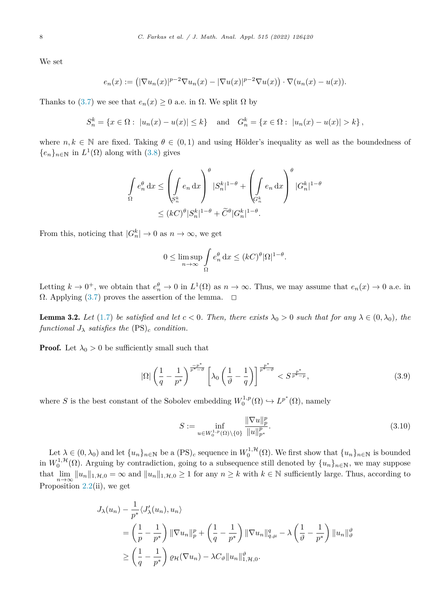<span id="page-7-0"></span>We set

$$
e_n(x) := \left( |\nabla u_n(x)|^{p-2} \nabla u_n(x) - |\nabla u(x)|^{p-2} \nabla u(x) \right) \cdot \nabla (u_n(x) - u(x)).
$$

Thanks to [\(3.7\)](#page-6-0) we see that  $e_n(x) \geq 0$  a.e. in  $\Omega$ . We split  $\Omega$  by

$$
S_n^k = \{ x \in \Omega : |u_n(x) - u(x)| \le k \} \text{ and } G_n^k = \{ x \in \Omega : |u_n(x) - u(x)| > k \},
$$

where  $n, k \in \mathbb{N}$  are fixed. Taking  $\theta \in (0,1)$  and using Hölder's inequality as well as the boundedness of  ${e_n}_{n \in \mathbb{N}}$  in  $L^1(\Omega)$  along with ([3.8\)](#page-6-0) gives

$$
\int_{\Omega} e_n^{\theta} dx \le \left( \int_{S_n^k} e_n dx \right)^{\theta} |S_n^k|^{1-\theta} + \left( \int_{G_n^k} e_n dx \right)^{\theta} |G_n^k|^{1-\theta}
$$
  

$$
\le (kC)^{\theta} |S_n^k|^{1-\theta} + \widetilde{C}^{\theta} |G_n^k|^{1-\theta}.
$$

From this, noticing that  $|G_n^k| \to 0$  as  $n \to \infty$ , we get

$$
0 \le \limsup_{n \to \infty} \int_{\Omega} e_n^{\theta} dx \le (kC)^{\theta} |\Omega|^{1-\theta}.
$$

Letting  $k \to 0^+$ , we obtain that  $e_n^{\theta} \to 0$  in  $L^1(\Omega)$  as  $n \to \infty$ . Thus, we may assume that  $e_n(x) \to 0$  a.e. in  $\Omega$ . Applying ([3.7](#page-6-0)) proves the assertion of the lemma.  $\Box$ 

**Lemma 3.2.** Let ([1.7\)](#page-2-0) be satisfied and let  $c < 0$ . Then, there exists  $\lambda_0 > 0$  such that for any  $\lambda \in (0, \lambda_0)$ , the *functional*  $J_{\lambda}$  *satisfies the* (PS)<sub>*c*</sub> *condition.* 

**Proof.** Let  $\lambda_0 > 0$  be sufficiently small such that

$$
|\Omega| \left(\frac{1}{q} - \frac{1}{p^*}\right)^{\frac{-p^*}{p^* - \vartheta}} \left[\lambda_0 \left(\frac{1}{\vartheta} - \frac{1}{q}\right)\right]^{\frac{p^*}{p^* - \vartheta}} < S^{\frac{p^*}{p^* - p}},\tag{3.9}
$$

where *S* is the best constant of the Sobolev embedding  $W_0^{1,p}(\Omega) \hookrightarrow L^{p^*}(\Omega)$ , namely

$$
S := \inf_{u \in W_0^{1,p}(\Omega) \backslash \{0\}} \frac{\|\nabla u\|_p^p}{\|u\|_{p^*}^p}.
$$
\n(3.10)

Let  $\lambda \in (0, \lambda_0)$  and let  $\{u_n\}_{n\in\mathbb{N}}$  be a  $(PS)_c$  sequence in  $W_0^{1, \mathcal{H}}(\Omega)$ . We first show that  $\{u_n\}_{n\in\mathbb{N}}$  is bounded in  $W_0^{1, H}(\Omega)$ . Arguing by contradiction, going to a subsequence still denoted by  $\{u_n\}_{n\in\mathbb{N}}$ , we may suppose that  $\lim_{n\to\infty} ||u_n||_{1,\mathcal{H},0} = \infty$  and  $||u_n||_{1,\mathcal{H},0} \ge 1$  for any  $n \ge k$  with  $k \in \mathbb{N}$  sufficiently large. Thus, according to Proposition [2.2\(](#page-4-0)ii), we get

$$
J_{\lambda}(u_n) - \frac{1}{p^*} \langle J'_{\lambda}(u_n), u_n \rangle
$$
  
=  $\left(\frac{1}{p} - \frac{1}{p^*}\right) \|\nabla u_n\|_p^p + \left(\frac{1}{q} - \frac{1}{p^*}\right) \|\nabla u_n\|_{q,\mu}^q - \lambda \left(\frac{1}{\vartheta} - \frac{1}{p^*}\right) \|u_n\|_{\vartheta}^{\vartheta}$   

$$
\geq \left(\frac{1}{q} - \frac{1}{p^*}\right) \varrho_{\mathcal{H}}(\nabla u_n) - \lambda C_{\vartheta} \|u_n\|_{1, \mathcal{H}, 0}^{\vartheta}.
$$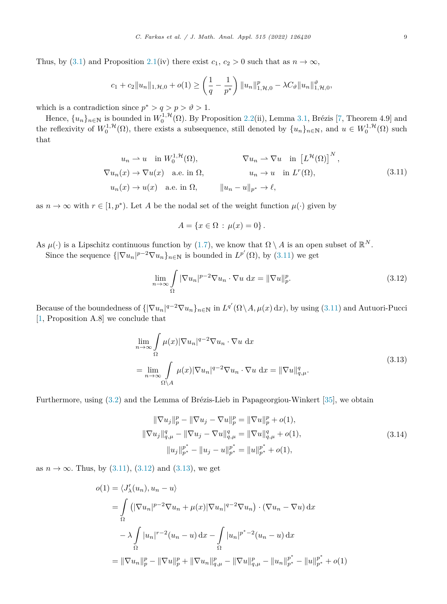<span id="page-8-0"></span>Thus, by ([3.1\)](#page-5-0) and Proposition [2.1\(](#page-3-0)iv) there exist  $c_1, c_2 > 0$  such that as  $n \to \infty$ ,

$$
c_1 + c_2 \|u_n\|_{1,\mathcal{H},0} + o(1) \ge \left(\frac{1}{q} - \frac{1}{p^*}\right) \|u_n\|_{1,\mathcal{H},0}^p - \lambda C_\vartheta \|u_n\|_{1,\mathcal{H},0}^\vartheta,
$$

which is a contradiction since  $p^* > q > p > \vartheta > 1$ .

Hence,  $\{u_n\}_{n\in\mathbb{N}}$  is bounded in  $W_0^{1,\mathcal{H}}(\Omega)$ . By Proposition [2.2\(](#page-4-0)ii), Lemma [3.1,](#page-5-0) Brézis [[7,](#page-14-0) Theorem 4.9] and the reflexivity of  $W_0^{1,\mathcal{H}}(\Omega)$ , there exists a subsequence, still denoted by  $\{u_n\}_{n\in\mathbb{N}}$ , and  $u \in W_0^{1,\mathcal{H}}(\Omega)$  such that

$$
u_n \rightharpoonup u \quad \text{in } W_0^{1,\mathcal{H}}(\Omega), \qquad \qquad \nabla u_n \rightharpoonup \nabla u \quad \text{in } \left[L^{\mathcal{H}}(\Omega)\right]^N,
$$
  

$$
\nabla u_n(x) \to \nabla u(x) \quad \text{a.e. in } \Omega, \qquad \qquad u_n \to u \quad \text{in } L^r(\Omega),
$$
  

$$
u_n(x) \to u(x) \quad \text{a.e. in } \Omega, \qquad \|u_n - u\|_{p^*} \to \ell,
$$
  
(3.11)

as  $n \to \infty$  with  $r \in [1, p^*)$ . Let A be the nodal set of the weight function  $\mu(\cdot)$  given by

$$
A = \{ x \in \Omega : \mu(x) = 0 \}.
$$

As  $\mu(\cdot)$  is a Lipschitz continuous function by ([1.7](#page-2-0)), we know that  $\Omega \setminus A$  is an open subset of  $\mathbb{R}^N$ .

Since the sequence  $\{|\nabla u_n|^{p-2}\nabla u_n\}_{n\in\mathbb{N}}$  is bounded in  $L^{p'}(\Omega)$ , by  $(3.11)$  we get

$$
\lim_{n \to \infty} \int_{\Omega} |\nabla u_n|^{p-2} \nabla u_n \cdot \nabla u \, dx = ||\nabla u||_p^p. \tag{3.12}
$$

Because of the boundedness of  ${\sqrt{\nabla u_n}}_n^q = \nabla u_n$ , in  $L^{q'}(\Omega \setminus A, \mu(x) \, dx)$ , by using (3.11) and Autuori-Pucci [[1,](#page-14-0) Proposition A.8] we conclude that

$$
\lim_{n \to \infty} \int_{\Omega} \mu(x) |\nabla u_n|^{q-2} \nabla u_n \cdot \nabla u \, dx
$$
\n
$$
= \lim_{n \to \infty} \int_{\Omega \backslash A} \mu(x) |\nabla u_n|^{q-2} \nabla u_n \cdot \nabla u \, dx = ||\nabla u||_{q,\mu}^q. \tag{3.13}
$$

Furthermore, using ([3.2\)](#page-5-0) and the Lemma of Brézis-Lieb in Papageorgiou-Winkert [\[35\]](#page-15-0), we obtain

$$
\|\nabla u_j\|_p^p - \|\nabla u_j - \nabla u\|_p^p = \|\nabla u\|_p^p + o(1),
$$
  

$$
\|\nabla u_j\|_{q,\mu}^q - \|\nabla u_j - \nabla u\|_{q,\mu}^q = \|\nabla u\|_{q,\mu}^q + o(1),
$$
  

$$
\|u_j\|_{p^*}^{p^*} - \|u_j - u\|_{p^*}^{p^*} = \|u\|_{p^*}^{p^*} + o(1),
$$
  
(3.14)

as  $n \to \infty$ . Thus, by (3.11), (3.12) and (3.13), we get

$$
o(1) = \langle J'_{\lambda}(u_n), u_n - u \rangle
$$
  
=  $\int_{\Omega} (|\nabla u_n|^{p-2} \nabla u_n + \mu(x)|\nabla u_n|^{q-2} \nabla u_n) \cdot (\nabla u_n - \nabla u) dx$   
 $- \lambda \int_{\Omega} |u_n|^{r-2} (u_n - u) dx - \int_{\Omega} |u_n|^{p^* - 2} (u_n - u) dx$   
=  $\|\nabla u_n\|_p^p - \|\nabla u\|_p^p + \|\nabla u_n\|_{q,\mu}^p - \|\nabla u\|_{q,\mu}^p - \|u_n\|_{p^*}^{p^*} - \|u\|_{p^*}^{p^*} + o(1)$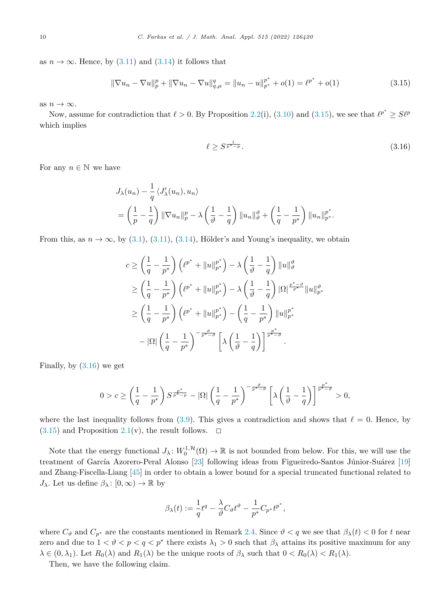as  $n \to \infty$ . Hence, by [\(3.11](#page-8-0)) and ([3.14](#page-8-0)) it follows that

$$
\|\nabla u_n - \nabla u\|_p^p + \|\nabla u_n - \nabla u\|_{q,\mu}^q = \|u_n - u\|_{p^*}^{p^*} + o(1) = \ell^{p^*} + o(1)
$$
\n(3.15)

as  $n \to \infty$ .

Now, assume for contradiction that  $\ell > 0$ . By Proposition [2.2\(](#page-4-0)i), [\(3.10\)](#page-7-0) and (3.15), we see that  $\ell^{p^*} \geq S\ell^p$ which implies

$$
\ell \ge S^{\frac{1}{p^*-p}}.\tag{3.16}
$$

For any  $n \in \mathbb{N}$  we have

$$
J_{\lambda}(u_n) - \frac{1}{q} \langle J'_{\lambda}(u_n), u_n \rangle
$$
  
=  $\left(\frac{1}{p} - \frac{1}{q}\right) \|\nabla u_n\|_p^p - \lambda \left(\frac{1}{\vartheta} - \frac{1}{q}\right) \|u_n\|_{\vartheta}^{\vartheta} + \left(\frac{1}{q} - \frac{1}{p^*}\right) \|u_n\|_{p^*}^{p^*}.$ 

From this, as  $n \to \infty$ , by [\(3.1](#page-5-0)), [\(3.11\)](#page-8-0), ([3.14\)](#page-8-0), Hölder's and Young's inequality, we obtain

$$
c \ge \left(\frac{1}{q} - \frac{1}{p^*}\right) \left(\ell^{p^*} + \|u\|_{p^*}^{p^*}\right) - \lambda \left(\frac{1}{\vartheta} - \frac{1}{q}\right) \|u\|_{\vartheta}^{\vartheta}
$$
  
\n
$$
\ge \left(\frac{1}{q} - \frac{1}{p^*}\right) \left(\ell^{p^*} + \|u\|_{p^*}^{p^*}\right) - \lambda \left(\frac{1}{\vartheta} - \frac{1}{q}\right) |\Omega|^{\frac{p^*-\vartheta}{p^*}} \|u\|_{p^*}^{\vartheta}
$$
  
\n
$$
\ge \left(\frac{1}{q} - \frac{1}{p^*}\right) \left(\ell^{p^*} + \|u\|_{p^*}^{p^*}\right) - \left(\frac{1}{q} - \frac{1}{p^*}\right) \|u\|_{p^*}^{p^*}
$$
  
\n
$$
- |\Omega| \left(\frac{1}{q} - \frac{1}{p^*}\right)^{-\frac{\vartheta}{p^*-\vartheta}} \left[\lambda \left(\frac{1}{\vartheta} - \frac{1}{q}\right)\right]^{\frac{p^*}{p^*-\vartheta}}.
$$

Finally, by (3.16) we get

$$
0 > c \ge \left(\frac{1}{q} - \frac{1}{p^*}\right) S^{\frac{p^*}{p^*-p}} - |\Omega| \left(\frac{1}{q} - \frac{1}{p^*}\right)^{-\frac{\vartheta}{p^*- \vartheta}} \left[\lambda \left(\frac{1}{\vartheta} - \frac{1}{q}\right)\right]^{\frac{p^*}{p^*- \vartheta}} > 0,
$$

where the last inequality follows from [\(3.9\)](#page-7-0). This gives a contradiction and shows that  $\ell = 0$ . Hence, by  $(3.15)$  and Proposition [2.1](#page-3-0)(v), the result follows.  $\Box$ 

Note that the energy functional  $J_\lambda: W_0^{1,\mathcal{H}}(\Omega) \to \mathbb{R}$  is not bounded from below. For this, we will use the treatment of García Azorero-Peral Alonso [\[23\]](#page-15-0) following ideas from Figueiredo-Santos Júnior-Suárez [[19\]](#page-14-0) and Zhang-Fiscella-Liang [\[45](#page-15-0)] in order to obtain a lower bound for a special truncated functional related to *J*<sub>*λ*</sub>. Let us define  $β_λ$ :  $[0, ∞)$  → R by

$$
\beta_{\lambda}(t) := \frac{1}{q}t^q - \frac{\lambda}{\vartheta}C_{\vartheta}t^{\vartheta} - \frac{1}{p^*}C_{p^*}t^{p^*},
$$

where  $C_{\vartheta}$  and  $C_{p^*}$  are the constants mentioned in Remark [2.4.](#page-4-0) Since  $\vartheta < q$  we see that  $\beta_{\lambda}(t) < 0$  for *t* near zero and due to  $1 < \theta < p < q < p^*$  there exists  $\lambda_1 > 0$  such that  $\beta_\lambda$  attains its positive maximum for any  $\lambda \in (0, \lambda_1)$ . Let  $R_0(\lambda)$  and  $R_1(\lambda)$  be the unique roots of  $\beta_\lambda$  such that  $0 < R_0(\lambda) < R_1(\lambda)$ .

Then, we have the following claim.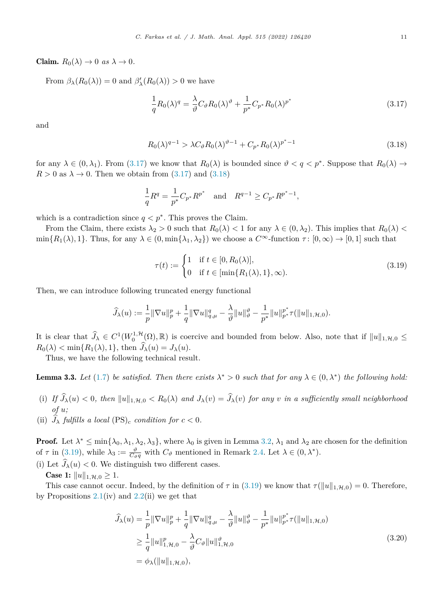<span id="page-10-0"></span>**Claim.**  $R_0(\lambda) \to 0$  *as*  $\lambda \to 0$ *.* 

From  $\beta_{\lambda}(R_0(\lambda)) = 0$  and  $\beta'_{\lambda}(R_0(\lambda)) > 0$  we have

$$
\frac{1}{q}R_0(\lambda)^q = \frac{\lambda}{\vartheta}C_\vartheta R_0(\lambda)^{\vartheta} + \frac{1}{p^*}C_{p^*}R_0(\lambda)^{p^*}
$$
\n(3.17)

and

$$
R_0(\lambda)^{q-1} > \lambda C_{\vartheta} R_0(\lambda)^{\vartheta - 1} + C_{p^*} R_0(\lambda)^{p^* - 1}
$$
\n(3.18)

for any  $\lambda \in (0, \lambda_1)$ . From (3.17) we know that  $R_0(\lambda)$  is bounded since  $\vartheta < q < p^*$ . Suppose that  $R_0(\lambda) \to$  $R > 0$  as  $\lambda \to 0$ . Then we obtain from  $(3.17)$  and  $(3.18)$ 

$$
\frac{1}{q}R^q = \frac{1}{p^*}C_{p^*}R^{p^*} \text{ and } R^{q-1} \ge C_{p^*}R^{p^*-1},
$$

which is a contradiction since  $q < p^*$ . This proves the Claim.

From the Claim, there exists  $\lambda_2 > 0$  such that  $R_0(\lambda) < 1$  for any  $\lambda \in (0, \lambda_2)$ . This implies that  $R_0(\lambda) <$  $\min\{R_1(\lambda), 1\}$ . Thus, for any  $\lambda \in (0, \min\{\lambda_1, \lambda_2\})$  we choose a  $C^{\infty}$ -function  $\tau : [0, \infty) \to [0, 1]$  such that

$$
\tau(t) := \begin{cases} 1 & \text{if } t \in [0, R_0(\lambda)], \\ 0 & \text{if } t \in [\min\{R_1(\lambda), 1\}, \infty). \end{cases}
$$
(3.19)

Then, we can introduce following truncated energy functional

$$
\widehat{J}_{\lambda}(u) := \frac{1}{p} \|\nabla u\|_{p}^{p} + \frac{1}{q} \|\nabla u\|_{q,\mu}^{q} - \frac{\lambda}{\vartheta} \|u\|_{\vartheta}^{\vartheta} - \frac{1}{p^{*}} \|u\|_{p^{*}}^{p^{*}} \tau(\|u\|_{1,\mathcal{H},0}).
$$

It is clear that  $\widehat{J}_\lambda \in C^1(W_0^{1,\mathcal{H}}(\Omega), \mathbb{R})$  is coercive and bounded from below. Also, note that if  $||u||_{1,\mathcal{H},0} \leq$  $R_0(\lambda) < \min\{R_1(\lambda), 1\}$ , then  $J_\lambda(u) = J_\lambda(u)$ .

Thus, we have the following technical result.

**Lemma 3.3.** Let [\(1.7](#page-2-0)) be satisfied. Then there exists  $\lambda^* > 0$  such that for any  $\lambda \in (0, \lambda^*)$  the following hold:

- (i) If  $J_\lambda(u) < 0$ , then  $||u||_{1,\mathcal{H},0} < R_0(\lambda)$  and  $J_\lambda(v) = J_\lambda(v)$  for any v in a sufficiently small neighborhood *of u;*
- (ii)  $J_{\lambda}$  *fulfills* a *local* (PS)<sub>*c*</sub> *condition for*  $c < 0$ *.*

**Proof.** Let  $\lambda^* \leq \min\{\lambda_0, \lambda_1, \lambda_2, \lambda_3\}$ , where  $\lambda_0$  is given in Lemma [3.2](#page-7-0),  $\lambda_1$  and  $\lambda_2$  are chosen for the definition of  $\tau$  in (3.19), while  $\lambda_3 := \frac{\partial}{\partial \theta}$  with  $C_{\theta}$  mentioned in Remark [2.4](#page-4-0). Let  $\lambda \in (0, \lambda^*)$ .

(i) Let  $J_{\lambda}(u) < 0$ . We distinguish two different cases.

**Case 1:**  $||u||_{1,\mathcal{H},0} \ge 1$ .

This case cannot occur. Indeed, by the definition of  $\tau$  in (3.19) we know that  $\tau(\|u\|_{1,\mathcal{H},0})=0$ . Therefore, by Propositions  $2.1(iv)$  $2.1(iv)$  and  $2.2(ii)$  $2.2(ii)$  we get that

$$
\hat{J}_{\lambda}(u) = \frac{1}{p} \|\nabla u\|_{p}^{p} + \frac{1}{q} \|\nabla u\|_{q,\mu}^{q} - \frac{\lambda}{\vartheta} \|u\|_{\vartheta}^{\vartheta} - \frac{1}{p^{*}} \|u\|_{p^{*}}^{p^{*}} \tau(\|u\|_{1,\mathcal{H},0})
$$
\n
$$
\geq \frac{1}{q} \|u\|_{1,\mathcal{H},0}^{p} - \frac{\lambda}{\vartheta} C_{\vartheta} \|u\|_{1,\mathcal{H},0}^{\vartheta}
$$
\n
$$
= \phi_{\lambda}(\|u\|_{1,\mathcal{H},0}), \qquad (3.20)
$$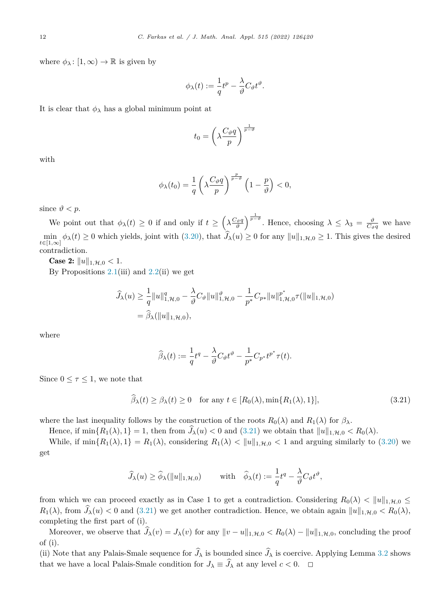where  $\phi_{\lambda} : [1, \infty) \to \mathbb{R}$  is given by

$$
\phi_\lambda(t):=\frac{1}{q}t^p-\frac{\lambda}{\vartheta}C_\vartheta t^\vartheta.
$$

It is clear that  $\phi_{\lambda}$  has a global minimum point at

$$
t_0 = \left(\lambda \frac{C_{\vartheta}q}{p}\right)^{\frac{1}{p-\vartheta}}
$$

with

$$
\phi_{\lambda}(t_0) = \frac{1}{q} \left( \lambda \frac{C_{\vartheta}q}{p} \right)^{\frac{p}{p-\vartheta}} \left( 1 - \frac{p}{\vartheta} \right) < 0,
$$

since  $\vartheta$  < *p*.

We point out that  $\phi_{\lambda}(t) \geq 0$  if and only if  $t \geq \left(\lambda \frac{C_{\vartheta}q}{\vartheta}\right)$  $\int_{0}^{\frac{1}{p-\vartheta}}$ . Hence, choosing  $\lambda \leq \lambda_3 = \frac{\vartheta}{C_{\vartheta}q}$  we have min  $\min_{t \in [1,\infty]} \phi_{\lambda}(t) \geq 0$  which yields, joint with  $(3.20)$  $(3.20)$ , that  $J_{\lambda}(u) \geq 0$  for any  $||u||_{1,\mathcal{H},0} \geq 1$ . This gives the desired contradiction.

**Case 2:**  $||u||_{1,\mathcal{H},0} < 1$ . By Propositions  $2.1(iii)$  $2.1(iii)$  and  $2.2(ii)$  $2.2(ii)$  we get

$$
\hat{J}_{\lambda}(u) \ge \frac{1}{q} ||u||_{1, \mathcal{H}, 0}^{q} - \frac{\lambda}{\vartheta} C_{\vartheta} ||u||_{1, \mathcal{H}, 0}^{\vartheta} - \frac{1}{p^{*}} C_{p^{*}} ||u||_{1, \mathcal{H}, 0}^{p^{*}} \tau(||u||_{1, \mathcal{H}, 0})
$$
  
=  $\hat{\beta}_{\lambda}(||u||_{1, \mathcal{H}, 0}),$ 

where

$$
\widehat{\beta}_\lambda(t) := \frac{1}{q}t^q - \frac{\lambda}{\vartheta}C_\vartheta t^\vartheta - \frac{1}{p^*}C_{p^*}t^{p^*}\tau(t).
$$

Since  $0 \leq \tau \leq 1$ , we note that

$$
\beta_{\lambda}(t) \ge \beta_{\lambda}(t) \ge 0 \quad \text{for any } t \in [R_0(\lambda), \min\{R_1(\lambda), 1\}], \tag{3.21}
$$

where the last inequality follows by the construction of the roots  $R_0(\lambda)$  and  $R_1(\lambda)$  for  $\beta_{\lambda}$ .

Hence, if  $\min\{R_1(\lambda), 1\} = 1$ , then from  $J_\lambda(u) < 0$  and  $(3.21)$  we obtain that  $||u||_{1,\mathcal{H},0} < R_0(\lambda)$ .

While, if  $\min\{R_1(\lambda), 1\} = R_1(\lambda)$ , considering  $R_1(\lambda) < ||u||_{1, \mathcal{H},0} < 1$  and arguing similarly to ([3.20](#page-10-0)) we get

$$
\widehat{J}_{\lambda}(u) \ge \widehat{\phi}_{\lambda}(\|u\|_{1,\mathcal{H},0}) \quad \text{with} \quad \widehat{\phi}_{\lambda}(t) := \frac{1}{q}t^q - \frac{\lambda}{\vartheta}C_{\vartheta}t^{\vartheta},
$$

from which we can proceed exactly as in Case 1 to get a contradiction. Considering  $R_0(\lambda) < ||u||_{1,\mathcal{H},0} \le$  $R_1(\lambda)$ , from  $J_\lambda(u) < 0$  and (3.21) we get another contradiction. Hence, we obtain again  $||u||_{1,\mathcal{H},0} < R_0(\lambda)$ , completing the first part of (i).

Moreover, we observe that  $J_\lambda(v) = J_\lambda(v)$  for any  $||v - u||_{1, \mathcal{H},0} < R_0(\lambda) - ||u||_{1, \mathcal{H},0}$ , concluding the proof of (i).

(ii) Note that any Palais-Smale sequence for  $J_{\lambda}$  is bounded since  $J_{\lambda}$  is coercive. Applying Lemma [3.2](#page-7-0) shows that we have a local Palais-Smale condition for  $J_{\lambda} \equiv J_{\lambda}$  at any level  $c < 0$ .  $\Box$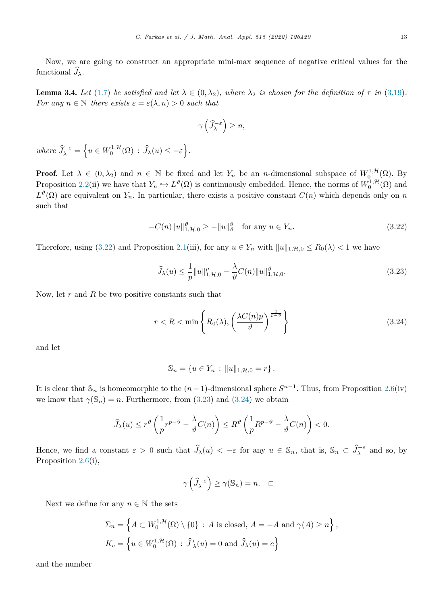<span id="page-12-0"></span>Now, we are going to construct an appropriate mini-max sequence of negative critical values for the functional  $J_{\lambda}$ .

**Lemma 3.4.** Let [\(1.7](#page-2-0)) be satisfied and let  $\lambda \in (0, \lambda_2)$ , where  $\lambda_2$  is chosen for the definition of  $\tau$  in [\(3.19](#page-10-0)). *For* any  $n \in \mathbb{N}$  *there exists*  $\varepsilon = \varepsilon(\lambda, n) > 0$  *such that* 

$$
\gamma\left(\widehat{J}_{\lambda}^{-\varepsilon}\right) \geq n,
$$

 $where \ \widehat{J}_{\lambda}^{-\varepsilon} = \left\{ u \in W_0^{1, \mathcal{H}}(\Omega) : \widehat{J}_{\lambda}(u) \leq -\varepsilon \right\}.$ 

**Proof.** Let  $\lambda \in (0, \lambda_2)$  and  $n \in \mathbb{N}$  be fixed and let  $Y_n$  be an *n*-dimensional subspace of  $W_0^{1, \mathcal{H}}(\Omega)$ . By Proposition [2.2](#page-4-0)(ii) we have that  $Y_n \hookrightarrow L^{\vartheta}(\Omega)$  is continuously embedded. Hence, the norms of  $W_0^{1,\mathcal{H}}(\Omega)$  and  $L^{\vartheta}(\Omega)$  are equivalent on  $Y_n$ . In particular, there exists a positive constant  $C(n)$  which depends only on *n* such that

$$
-C(n)\|u\|_{1,\mathcal{H},0}^{\vartheta} \ge -\|u\|_{\vartheta}^{\vartheta} \quad \text{for any } u \in Y_n. \tag{3.22}
$$

Therefore, using (3.22) and Proposition [2.1](#page-3-0)(iii), for any  $u \in Y_n$  with  $||u||_{1,\mathcal{H},0} \leq R_0(\lambda) < 1$  we have

$$
\widehat{J}_{\lambda}(u) \le \frac{1}{p} ||u||_{1, \mathcal{H}, 0}^{p} - \frac{\lambda}{\vartheta} C(n) ||u||_{1, \mathcal{H}, 0}^{\vartheta}.
$$
\n(3.23)

Now, let *r* and *R* be two positive constants such that

$$
r < R < \min\left\{ R_0(\lambda), \left( \frac{\lambda C(n)p}{\vartheta} \right)^{\frac{1}{p-\vartheta}} \right\} \tag{3.24}
$$

and let

$$
S_n = \{ u \in Y_n : ||u||_{1,\mathcal{H},0} = r \}.
$$

It is clear that  $\mathbb{S}_n$  is homeomorphic to the  $(n-1)$ -dimensional sphere  $S^{n-1}$ . Thus, from Proposition [2.6](#page-5-0)(iv) we know that  $\gamma(\mathbb{S}_n) = n$ . Furthermore, from (3.23) and (3.24) we obtain

$$
\widehat{J}_{\lambda}(u) \le r^{\vartheta}\left(\frac{1}{p}r^{p-\vartheta} - \frac{\lambda}{\vartheta}C(n)\right) \le R^{\vartheta}\left(\frac{1}{p}R^{p-\vartheta} - \frac{\lambda}{\vartheta}C(n)\right) < 0.
$$

Hence, we find a constant  $\varepsilon > 0$  such that  $\widehat{J}_{\lambda}(u) < -\varepsilon$  for any  $u \in \mathbb{S}_n$ , that is,  $\mathbb{S}_n \subset \widehat{J}_{\lambda}^{-\varepsilon}$  and so, by Proposition [2.6](#page-5-0)(i),

$$
\gamma\left(\widehat{J}_{\lambda}^{-\varepsilon}\right) \ge \gamma(\mathbb{S}_n) = n. \quad \Box
$$

Next we define for any  $n \in \mathbb{N}$  the sets

$$
\Sigma_n = \left\{ A \subset W_0^{1,\mathcal{H}}(\Omega) \setminus \{0\} : A \text{ is closed, } A = -A \text{ and } \gamma(A) \ge n \right\},\
$$
  

$$
K_c = \left\{ u \in W_0^{1,\mathcal{H}}(\Omega) : \widehat{J}'_{\lambda}(u) = 0 \text{ and } \widehat{J}_{\lambda}(u) = c \right\}
$$

and the number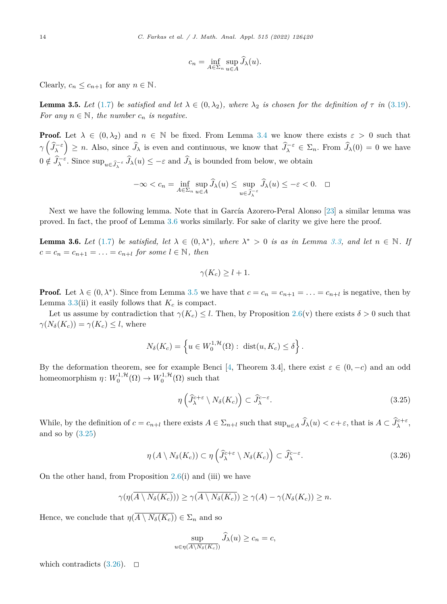$$
c_n = \inf_{A \in \Sigma_n} \sup_{u \in A} \widehat{J}_\lambda(u).
$$

<span id="page-13-0"></span>Clearly,  $c_n \leq c_{n+1}$  for any  $n \in \mathbb{N}$ .

**Lemma 3.5.** Let ([1.7\)](#page-2-0) be satisfied and let  $\lambda \in (0, \lambda_2)$ , where  $\lambda_2$  is chosen for the definition of  $\tau$  in ([3.19](#page-10-0)). *For* any  $n \in \mathbb{N}$ , the *number*  $c_n$  *is negative.* 

**Proof.** Let  $\lambda \in (0, \lambda_2)$  and  $n \in \mathbb{N}$  be fixed. From Lemma [3.4](#page-12-0) we know there exists  $\varepsilon > 0$  such that  $\gamma\left(\widehat{J}_{\lambda}^{-\varepsilon}\right) \geq n$ . Also, since  $\widehat{J}_{\lambda}$  is even and continuous, we know that  $\widehat{J}_{\lambda}^{-\varepsilon} \in \Sigma_n$ . From  $\widehat{J}_{\lambda}(0) = 0$  we have  $0 \notin \hat{J}_{\lambda}^{-\varepsilon}$ . Since  $\sup_{u \in \hat{J}_{\lambda}^{-\varepsilon}} \hat{J}_{\lambda}(u) \leq -\varepsilon$  and  $\hat{J}_{\lambda}$  is bounded from below, we obtain

$$
-\infty < c_n = \inf_{A \in \Sigma_n} \sup_{u \in A} \widehat{J}_\lambda(u) \le \sup_{u \in \widehat{J}_\lambda^{-\varepsilon}} \widehat{J}_\lambda(u) \le -\varepsilon < 0. \quad \Box
$$

Next we have the following lemma. Note that in García Azorero-Peral Alonso [\[23\]](#page-15-0) a similar lemma was proved. In fact, the proof of Lemma 3.6 works similarly. For sake of clarity we give here the proof.

**Lemma 3.6.** Let ([1.7\)](#page-2-0) be satisfied, let  $\lambda \in (0, \lambda^*)$ , where  $\lambda^* > 0$  is as in Lemma [3.3](#page-10-0), and let  $n \in \mathbb{N}$ . If  $c = c_n = c_{n+1} = \ldots = c_{n+l}$  *for some*  $l \in \mathbb{N}$ *, then* 

$$
\gamma(K_c) \ge l+1.
$$

**Proof.** Let  $\lambda \in (0, \lambda^*)$ . Since from Lemma 3.5 we have that  $c = c_n = c_{n+1} = \ldots = c_{n+1}$  is negative, then by Lemma  $3.3$ (ii) it easily follows that  $K_c$  is compact.

Let us assume by contradiction that  $\gamma(K_c) \leq l$ . Then, by Proposition [2.6](#page-5-0)(v) there exists  $\delta > 0$  such that  $\gamma(N_{\delta}(K_c)) = \gamma(K_c) \leq l$ , where

$$
N_{\delta}(K_c) = \left\{ u \in W_0^{1,\mathcal{H}}(\Omega) : \text{ dist}(u, K_c) \le \delta \right\}.
$$

By the deformation theorem, see for example Benci [\[4](#page-14-0), Theorem 3.4], there exist  $\varepsilon \in (0, -c)$  and an odd homeomorphism  $\eta: W_0^{1,\mathcal{H}}(\Omega) \to W_0^{1,\mathcal{H}}(\Omega)$  such that

$$
\eta\left(\hat{J}_{\lambda}^{c+\varepsilon}\setminus N_{\delta}(K_c)\right) \subset \hat{J}_{\lambda}^{c-\varepsilon}.
$$
\n(3.25)

While, by the definition of  $c = c_{n+l}$  there exists  $A \in \Sigma_{n+l}$  such that  $\sup_{u \in A} \widehat{J}_\lambda(u) < c + \varepsilon$ , that is  $A \subset \widehat{J}_\lambda^{c+\varepsilon}$ , and so by  $(3.25)$ 

$$
\eta(A \setminus N_{\delta}(K_c)) \subset \eta\left(\widehat{J}_{\lambda}^{c+\varepsilon} \setminus N_{\delta}(K_c)\right) \subset \widehat{J}_{\lambda}^{c-\varepsilon}.
$$
\n(3.26)

On the other hand, from Proposition [2.6](#page-5-0)(i) and (iii) we have

$$
\gamma(\eta(\overline{A\setminus N_{\delta}(K_c)}))\geq \gamma(\overline{A\setminus N_{\delta}(K_c)})\geq \gamma(A)-\gamma(N_{\delta}(K_c))\geq n.
$$

Hence, we conclude that  $\eta(\overline{A \setminus N_{\delta}(K_c)}) \in \Sigma_n$  and so

$$
\sup_{u \in \eta(\overline{A \setminus N_{\delta}(K_c)})} \widehat{J}_{\lambda}(u) \ge c_n = c,
$$

which contradicts  $(3.26)$ .  $\Box$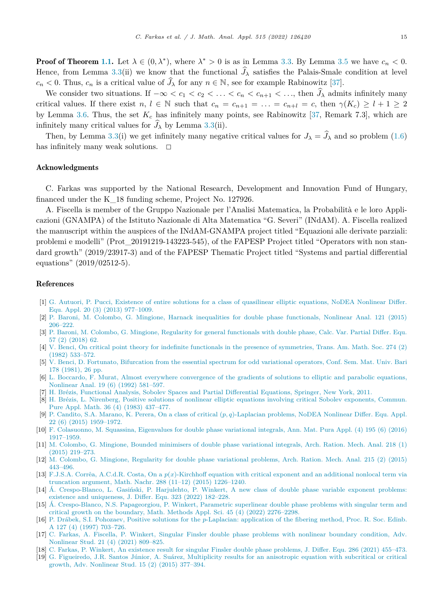<span id="page-14-0"></span>**Proof of Theorem [1.1.](#page-2-0)** Let  $\lambda \in (0, \lambda^*)$ , where  $\lambda^* > 0$  is as in Lemma [3.3.](#page-10-0) By Lemma [3.5](#page-13-0) we have  $c_n < 0$ . Hence, from Lemma [3.3\(](#page-10-0)ii) we know that the functional  $J_{\lambda}$  satisfies the Palais-Smale condition at level  $c_n < 0$ . Thus,  $c_n$  is a critical value of  $J_\lambda$  for any  $n \in \mathbb{N}$ , see for example Rabinowitz [[37\]](#page-15-0).

We consider two situations. If  $-\infty < c_1 < c_2 < \ldots < c_n < c_{n+1} < \ldots$ , then  $J_\lambda$  admits infinitely many critical values. If there exist  $n, l \in \mathbb{N}$  such that  $c_n = c_{n+1} = \ldots = c_{n+l} = c$ , then  $\gamma(K_c) \geq l+1 \geq 2$ by Lemma [3.6.](#page-13-0) Thus, the set  $K_c$  has infinitely many points, see Rabinowitz [[37,](#page-15-0) Remark 7.3], which are infinitely many critical values for  $J_\lambda$  by Lemma [3.3\(](#page-10-0)ii).

Then, by Lemma [3.3](#page-10-0)(i) we get infinitely many negative critical values for  $J_{\lambda} = J_{\lambda}$  and so problem [\(1.6](#page-1-0)) has infinitely many weak solutions.  $\Box$ 

### Acknowledgments

C. Farkas was supported by the National Research, Development and Innovation Fund of Hungary, financed under the K\_18 funding scheme, Project No. 127926.

A. Fiscella is member of the Gruppo Nazionale per l'Analisi Matematica, la Probabilità e le loro Applicazioni (GNAMPA) of the Istituto Nazionale di Alta Matematica "G. Severi" (INdAM). A. Fiscella realized the manuscript within the auspices of the INdAM-GNAMPA project titled "Equazioni alle derivate parziali: problemi e modelli" (Prot\_20191219-143223-545), of the FAPESP Project titled "Operators with non standard growth" (2019/23917-3) and of the FAPESP Thematic Project titled "Systems and partial differential equations" (2019/02512-5).

# References

- [1] G. Autuori, P. Pucci, Existence of entire solutions for a class of [quasilinear](http://refhub.elsevier.com/S0022-247X(22)00434-6/bib3D8396C88DB922288ABBA36B827B3F71s1) elliptic equations, NoDEA Nonlinear Differ. Equ. Appl. 20 (3) (2013) [977–1009.](http://refhub.elsevier.com/S0022-247X(22)00434-6/bib3D8396C88DB922288ABBA36B827B3F71s1)
- [2] P. Baroni, M. Colombo, G. Mingione, Harnack inequalities for double phase [functionals,](http://refhub.elsevier.com/S0022-247X(22)00434-6/bib8B1C3E8D71D67FEBEFF684812E2710F3s1) Nonlinear Anal. 121 (2015) [206–222.](http://refhub.elsevier.com/S0022-247X(22)00434-6/bib8B1C3E8D71D67FEBEFF684812E2710F3s1)
- [3] P. Baroni, M. Colombo, G. Mingione, Regularity for general [functionals](http://refhub.elsevier.com/S0022-247X(22)00434-6/bibB24C49D8440ED993BC2B4769467DD68Es1) with double phase, Calc. Var. Partial Differ. Equ. 57 (2) [\(2018\)](http://refhub.elsevier.com/S0022-247X(22)00434-6/bibB24C49D8440ED993BC2B4769467DD68Es1) 62.
- [4] V. Benci, On critical point theory for indefinite functionals in the presence of [symmetries,](http://refhub.elsevier.com/S0022-247X(22)00434-6/bib96A8ACBD1993F335B655CF989DC83A25s1) Trans. Am. Math. Soc. 274 (2) (1982) [533–572.](http://refhub.elsevier.com/S0022-247X(22)00434-6/bib96A8ACBD1993F335B655CF989DC83A25s1)
- [5] V. Benci, D. Fortunato, [Bifurcation](http://refhub.elsevier.com/S0022-247X(22)00434-6/bibA260BF63D63F41F6F42A04A07DB5CB05s1) from the essential spectrum for odd variational operators, Conf. Sem. Mat. Univ. Bari 178 [\(1981\),](http://refhub.elsevier.com/S0022-247X(22)00434-6/bibA260BF63D63F41F6F42A04A07DB5CB05s1) 26 pp.
- [6] L. Boccardo, F. Murat, Almost everywhere [convergence](http://refhub.elsevier.com/S0022-247X(22)00434-6/bib29977BBAE8F3D8857E96A61CD99F7C3Es1) of the gradients of solutions to elliptic and parabolic equations, [Nonlinear](http://refhub.elsevier.com/S0022-247X(22)00434-6/bib29977BBAE8F3D8857E96A61CD99F7C3Es1) Anal. 19 (6) (1992) 581–597.
- [7] H. Brézis, Functional Analysis, Sobolev Spaces and Partial [Differential](http://refhub.elsevier.com/S0022-247X(22)00434-6/bib2339ACF340B6F95EEF71805B8A81D2E6s1) Equations, Springer, New York, 2011.
- [8] H. Brézis, L. Nirenberg, Positive solutions of nonlinear elliptic equations involving critical Sobolev [exponents,](http://refhub.elsevier.com/S0022-247X(22)00434-6/bib22EC7CA64A094395643A4FA3A4B66C70s1) Commun. Pure Appl. Math. 36 (4) (1983) [437–477.](http://refhub.elsevier.com/S0022-247X(22)00434-6/bib22EC7CA64A094395643A4FA3A4B66C70s1)
- [9] P. Candito, S.A. Marano, K. Perera, On a class of critical (*p, q*[\)-Laplacian](http://refhub.elsevier.com/S0022-247X(22)00434-6/bib3D1E421B4A941DFE74A9F51F5DCEFEEDs1) problems, NoDEA Nonlinear Differ. Equ. Appl. 22 (6) (2015) [1959–1972.](http://refhub.elsevier.com/S0022-247X(22)00434-6/bib3D1E421B4A941DFE74A9F51F5DCEFEEDs1)
- [10] F. [Colasuonno,](http://refhub.elsevier.com/S0022-247X(22)00434-6/bib39ADCCE93F1637A6293526A0A3FE859As1) M. Squassina, Eigenvalues for double phase variational integrals, Ann. Mat. Pura Appl. (4) 195 (6) (2016) [1917–1959.](http://refhub.elsevier.com/S0022-247X(22)00434-6/bib39ADCCE93F1637A6293526A0A3FE859As1)
- [11] M. Colombo, G. Mingione, Bounded [minimisers](http://refhub.elsevier.com/S0022-247X(22)00434-6/bibF5AB333105B1BECCF369EE202DB65297s1) of double phase variational integrals, Arch. Ration. Mech. Anal. 218 (1) (2015) [219–273.](http://refhub.elsevier.com/S0022-247X(22)00434-6/bibF5AB333105B1BECCF369EE202DB65297s1)
- [12] M. Colombo, G. Mingione, Regularity for double phase [variational](http://refhub.elsevier.com/S0022-247X(22)00434-6/bibF3818D8141B6F543EE00D360DD1CFC58s1) problems, Arch. Ration. Mech. Anal. 215 (2) (2015) [443–496.](http://refhub.elsevier.com/S0022-247X(22)00434-6/bibF3818D8141B6F543EE00D360DD1CFC58s1)
- [13] F.J.S.A. Corrêa, A.C.d.R. Costa, On a *p*(*x*[\)-Kirchhoff](http://refhub.elsevier.com/S0022-247X(22)00434-6/bibECC514FD17CDB916CF7F8550D30499C7s1) equation with critical exponent and an additional nonlocal term via truncation argument, Math. Nachr. [288 \(11–12\)](http://refhub.elsevier.com/S0022-247X(22)00434-6/bibECC514FD17CDB916CF7F8550D30499C7s1) (2015) 1226–1240.
- [14] Á. [Crespo-Blanco,](http://refhub.elsevier.com/S0022-247X(22)00434-6/bib4BBE42091ED55FD52DEA1CCCE1D2B936s1) L. Gasiński, P. Harjulehto, P. Winkert, A new class of double phase variable exponent problems: existence and [uniqueness,](http://refhub.elsevier.com/S0022-247X(22)00434-6/bib4BBE42091ED55FD52DEA1CCCE1D2B936s1) J. Differ. Equ. 323 (2022) 182–228.
- [15] Á. [Crespo-Blanco,](http://refhub.elsevier.com/S0022-247X(22)00434-6/bib188DC14C244B3BBB52D2F030A0381706s1) N.S. Papageorgiou, P. Winkert, Parametric superlinear double phase problems with singular term and critical growth on the boundary, Math. Methods Appl. Sci. 45 (4) (2022) [2276–2298.](http://refhub.elsevier.com/S0022-247X(22)00434-6/bib188DC14C244B3BBB52D2F030A0381706s1)
- [16] P. Drábek, S.I. Pohozaev, Positive solutions for the *p*[-Laplacian:](http://refhub.elsevier.com/S0022-247X(22)00434-6/bib5E656808F13AA3AFD2BF8C7B8E2965FFs1) application of the fibering method, Proc. R. Soc. Edinb. A 127 (4) (1997) [703–726.](http://refhub.elsevier.com/S0022-247X(22)00434-6/bib5E656808F13AA3AFD2BF8C7B8E2965FFs1)
- [17] C. Farkas, A. Fiscella, P. Winkert, Singular Finsler double phase problems with nonlinear boundary [condition,](http://refhub.elsevier.com/S0022-247X(22)00434-6/bib6B4D0A2C20AF47FA8C3D1C8F98E929B3s1) Adv. [Nonlinear](http://refhub.elsevier.com/S0022-247X(22)00434-6/bib6B4D0A2C20AF47FA8C3D1C8F98E929B3s1) Stud. 21 (4) (2021) 809–825.
- [18] C. Farkas, P. Winkert, An existence result for singular Finsler double phase [problems,](http://refhub.elsevier.com/S0022-247X(22)00434-6/bibA10D5F9EDB973900BEDC8FF825FC40ECs1) J. Differ. Equ. 286 (2021) 455–473.
- [19] G. Figueiredo, J.R. Santos Júnior, A. Suárez, [Multiplicity](http://refhub.elsevier.com/S0022-247X(22)00434-6/bibBDD63A5E4883BC877A47AAF3C97ADA94s1) results for an anisotropic equation with subcritical or critical growth, Adv. [Nonlinear](http://refhub.elsevier.com/S0022-247X(22)00434-6/bibBDD63A5E4883BC877A47AAF3C97ADA94s1) Stud. 15 (2) (2015) 377–394.